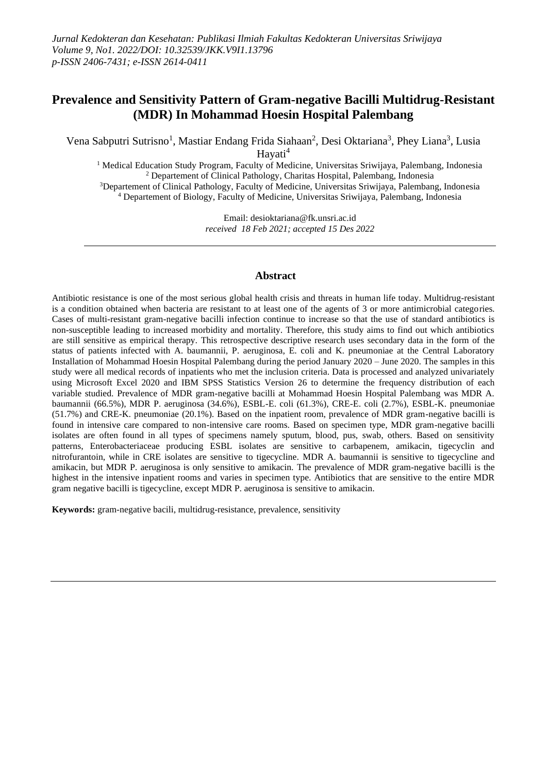## **Prevalence and Sensitivity Pattern of Gram-negative Bacilli Multidrug-Resistant (MDR) In Mohammad Hoesin Hospital Palembang**

Vena Sabputri Sutrisno<sup>1</sup>, Mastiar Endang Frida Siahaan<sup>2</sup>, Desi Oktariana<sup>3</sup>, Phey Liana<sup>3</sup>, Lusia Havati<sup>4</sup>

 Medical Education Study Program, Faculty of Medicine, Universitas Sriwijaya, Palembang, Indonesia Departement of Clinical Pathology, Charitas Hospital, Palembang, Indonesia Departement of Clinical Pathology, Faculty of Medicine, Universitas Sriwijaya, Palembang, Indonesia Departement of Biology, Faculty of Medicine, Universitas Sriwijaya, Palembang, Indonesia

> Email: desioktariana@fk.unsri.ac.id *received 18 Feb 2021; accepted 15 Des 2022*

#### **Abstract**

Antibiotic resistance is one of the most serious global health crisis and threats in human life today. Multidrug-resistant is a condition obtained when bacteria are resistant to at least one of the agents of 3 or more antimicrobial categories. Cases of multi-resistant gram-negative bacilli infection continue to increase so that the use of standard antibiotics is non-susceptible leading to increased morbidity and mortality. Therefore, this study aims to find out which antibiotics are still sensitive as empirical therapy. This retrospective descriptive research uses secondary data in the form of the status of patients infected with A. baumannii, P. aeruginosa, E. coli and K. pneumoniae at the Central Laboratory Installation of Mohammad Hoesin Hospital Palembang during the period January 2020 – June 2020. The samples in this study were all medical records of inpatients who met the inclusion criteria. Data is processed and analyzed univariately using Microsoft Excel 2020 and IBM SPSS Statistics Version 26 to determine the frequency distribution of each variable studied. Prevalence of MDR gram-negative bacilli at Mohammad Hoesin Hospital Palembang was MDR A. baumannii (66.5%), MDR P. aeruginosa (34.6%), ESBL-E. coli (61.3%), CRE-E. coli (2.7%), ESBL-K. pneumoniae (51.7%) and CRE-K. pneumoniae (20.1%). Based on the inpatient room, prevalence of MDR gram-negative bacilli is found in intensive care compared to non-intensive care rooms. Based on specimen type, MDR gram-negative bacilli isolates are often found in all types of specimens namely sputum, blood, pus, swab, others. Based on sensitivity patterns, Enterobacteriaceae producing ESBL isolates are sensitive to carbapenem, amikacin, tigecyclin and nitrofurantoin, while in CRE isolates are sensitive to tigecycline. MDR A. baumannii is sensitive to tigecycline and amikacin, but MDR P. aeruginosa is only sensitive to amikacin. The prevalence of MDR gram-negative bacilli is the highest in the intensive inpatient rooms and varies in specimen type. Antibiotics that are sensitive to the entire MDR gram negative bacilli is tigecycline, except MDR P. aeruginosa is sensitive to amikacin.

**Keywords:** gram-negative bacili, multidrug-resistance, prevalence, sensitivity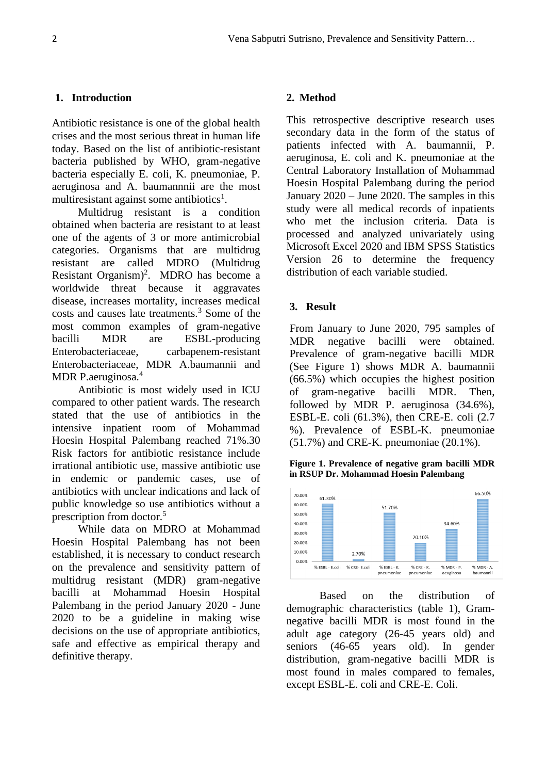#### **1. Introduction**

Antibiotic resistance is one of the global health crises and the most serious threat in human life today. Based on the list of antibiotic-resistant bacteria published by WHO, gram-negative bacteria especially E. coli, K. pneumoniae, P. aeruginosa and A. baumannnii are the most multiresistant against some antibiotics<sup>1</sup>.

Multidrug resistant is a condition obtained when bacteria are resistant to at least one of the agents of 3 or more antimicrobial categories. Organisms that are multidrug resistant are called MDRO (Multidrug Resistant Organism)<sup>2</sup>. MDRO has become a worldwide threat because it aggravates disease, increases mortality, increases medical costs and causes late treatments.<sup>3</sup> Some of the most common examples of gram-negative bacilli MDR are ESBL-producing Enterobacteriaceae, carbapenem-resistant Enterobacteriaceae, MDR A.baumannii and MDR P.aeruginosa.<sup>4</sup>

Antibiotic is most widely used in ICU compared to other patient wards. The research stated that the use of antibiotics in the intensive inpatient room of Mohammad Hoesin Hospital Palembang reached 71%.30 Risk factors for antibiotic resistance include irrational antibiotic use, massive antibiotic use in endemic or pandemic cases, use of antibiotics with unclear indications and lack of public knowledge so use antibiotics without a prescription from doctor.<sup>5</sup>

While data on MDRO at Mohammad Hoesin Hospital Palembang has not been established, it is necessary to conduct research on the prevalence and sensitivity pattern of multidrug resistant (MDR) gram-negative bacilli at Mohammad Hoesin Hospital Palembang in the period January 2020 - June 2020 to be a guideline in making wise decisions on the use of appropriate antibiotics, safe and effective as empirical therapy and definitive therapy.

#### **2. Method**

This retrospective descriptive research uses secondary data in the form of the status of patients infected with A. baumannii, P. aeruginosa, E. coli and K. pneumoniae at the Central Laboratory Installation of Mohammad Hoesin Hospital Palembang during the period January 2020 – June 2020. The samples in this study were all medical records of inpatients who met the inclusion criteria. Data is processed and analyzed univariately using Microsoft Excel 2020 and IBM SPSS Statistics Version 26 to determine the frequency distribution of each variable studied.

#### **3. Result**

From January to June 2020, 795 samples of MDR negative bacilli were obtained. Prevalence of gram-negative bacilli MDR (See Figure 1) shows MDR A. baumannii (66.5%) which occupies the highest position of gram-negative bacilli MDR. Then, followed by MDR P. aeruginosa (34.6%), ESBL-E. coli (61.3%), then CRE-E. coli (2.7 %). Prevalence of ESBL-K. pneumoniae (51.7%) and CRE-K. pneumoniae (20.1%).

**Figure 1. Prevalence of negative gram bacilli MDR in RSUP Dr. Mohammad Hoesin Palembang**



Based on the distribution of demographic characteristics (table 1), Gramnegative bacilli MDR is most found in the adult age category (26-45 years old) and seniors (46-65 years old). In gender distribution, gram-negative bacilli MDR is most found in males compared to females, except ESBL-E. coli and CRE-E. Coli.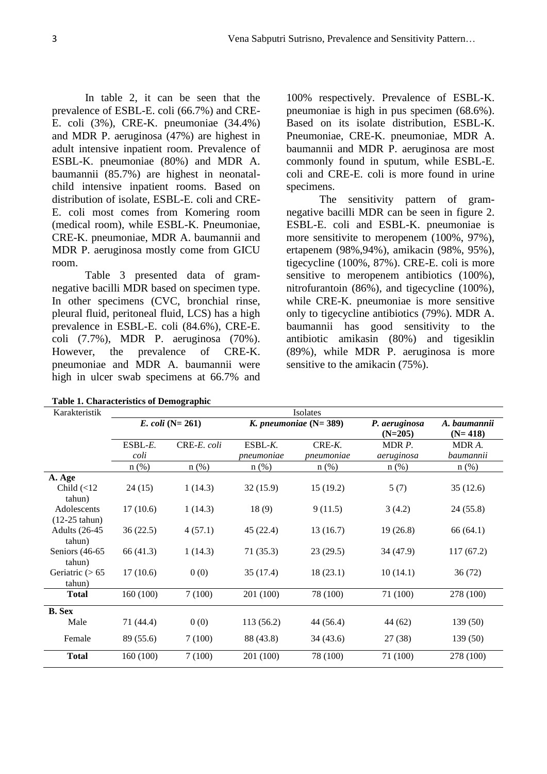In table 2, it can be seen that the prevalence of ESBL-E. coli (66.7%) and CRE-E. coli (3%), CRE-K. pneumoniae (34.4%) and MDR P. aeruginosa (47%) are highest in adult intensive inpatient room. Prevalence of ESBL-K. pneumoniae (80%) and MDR A. baumannii (85.7%) are highest in neonatalchild intensive inpatient rooms. Based on distribution of isolate, ESBL-E. coli and CRE-E. coli most comes from Komering room (medical room), while ESBL-K. Pneumoniae, CRE-K. pneumoniae, MDR A. baumannii and MDR P. aeruginosa mostly come from GICU room.

Table 3 presented data of gramnegative bacilli MDR based on specimen type. In other specimens (CVC, bronchial rinse, pleural fluid, peritoneal fluid, LCS) has a high prevalence in ESBL-E. coli (84.6%), CRE-E. coli (7.7%), MDR P. aeruginosa (70%). However, the prevalence of CRE-K. pneumoniae and MDR A. baumannii were high in ulcer swab specimens at 66.7% and

| Table 1. Characteristics of Demographic |
|-----------------------------------------|
|-----------------------------------------|

100% respectively. Prevalence of ESBL-K. pneumoniae is high in pus specimen (68.6%). Based on its isolate distribution, ESBL-K. Pneumoniae, CRE-K. pneumoniae, MDR A. baumannii and MDR P. aeruginosa are most commonly found in sputum, while ESBL-E. coli and CRE-E. coli is more found in urine specimens.

The sensitivity pattern of gramnegative bacilli MDR can be seen in figure 2. ESBL-E. coli and ESBL-K. pneumoniae is more sensitivite to meropenem (100%, 97%), ertapenem (98%,94%), amikacin (98%, 95%), tigecycline (100%, 87%). CRE-E. coli is more sensitive to meropenem antibiotics (100%), nitrofurantoin (86%), and tigecycline (100%), while CRE-K. pneumoniae is more sensitive only to tigecycline antibiotics (79%). MDR A. baumannii has good sensitivity to the antibiotic amikasin (80%) and tigesiklin (89%), while MDR P. aeruginosa is more sensitive to the amikacin (75%).

| Karakteristik                                   | Isolates           |                              |                         |                         |                            |                           |  |  |  |  |  |  |  |  |
|-------------------------------------------------|--------------------|------------------------------|-------------------------|-------------------------|----------------------------|---------------------------|--|--|--|--|--|--|--|--|
|                                                 |                    | <i>E. coli</i> ( $N = 261$ ) |                         | K. pneumoniae $(N=389)$ | P. aeruginosa<br>$(N=205)$ | A. baumannii<br>$(N=418)$ |  |  |  |  |  |  |  |  |
|                                                 | $ESBL-E$ .<br>coli | CRE-E. coli                  | $ESBL-K.$<br>pneumoniae | $CRE-K.$<br>pneumoniae  | MDR P.<br>aeruginosa       | MDR A.<br>baumannii       |  |  |  |  |  |  |  |  |
|                                                 | $n$ (%)            | $n$ (%)                      | $n$ $(\%)$              | $n$ (%)                 | $n$ (%)                    | $n$ (%)                   |  |  |  |  |  |  |  |  |
| A. Age<br>Child $\left( < 12 \right)$<br>tahun) | 1(14.3)<br>24 (15) |                              | 32(15.9)                | 15(19.2)                | 5(7)                       | 35(12.6)                  |  |  |  |  |  |  |  |  |
| Adolescents<br>$(12-25 \tanh)$                  | 17(10.6)           | 1(14.3)                      | 18(9)                   | 9(11.5)                 | 3(4.2)                     | 24(55.8)                  |  |  |  |  |  |  |  |  |
| <b>Adults</b> (26-45<br>tahun)                  | 36(22.5)           | 4(57.1)                      | 45 (22.4)               | 13(16.7)                | 19(26.8)                   | 66 (64.1)                 |  |  |  |  |  |  |  |  |
| Seniors $(46-65)$<br>tahun)                     | 66 (41.3)          | 1(14.3)                      | 71(35.3)                | 23(29.5)                | 34 (47.9)                  | 117(67.2)                 |  |  |  |  |  |  |  |  |
| Geriatric $($ > 65<br>tahun)                    | 17(10.6)           | 0(0)                         | 35(17.4)                | 18(23.1)                | 10(14.1)                   | 36 (72)                   |  |  |  |  |  |  |  |  |
| <b>Total</b>                                    | 160 (100)          | 7(100)                       | 201 (100)               | 78 (100)                | 71 (100)                   | 278 (100)                 |  |  |  |  |  |  |  |  |
| <b>B.</b> Sex                                   |                    |                              |                         |                         |                            |                           |  |  |  |  |  |  |  |  |
| Male                                            | 71 (44.4)          | 0(0)                         | 113(56.2)               | 44 (56.4)               | 44 (62)                    | 139 (50)                  |  |  |  |  |  |  |  |  |
| Female                                          | 89 (55.6)          | 7(100)                       | 88 (43.8)               | 34 (43.6)               | 27(38)                     | 139(50)                   |  |  |  |  |  |  |  |  |
| <b>Total</b>                                    | 160 (100)          | 7(100)                       | 201 (100)               | 78 (100)                | 71 (100)                   | 278 (100)                 |  |  |  |  |  |  |  |  |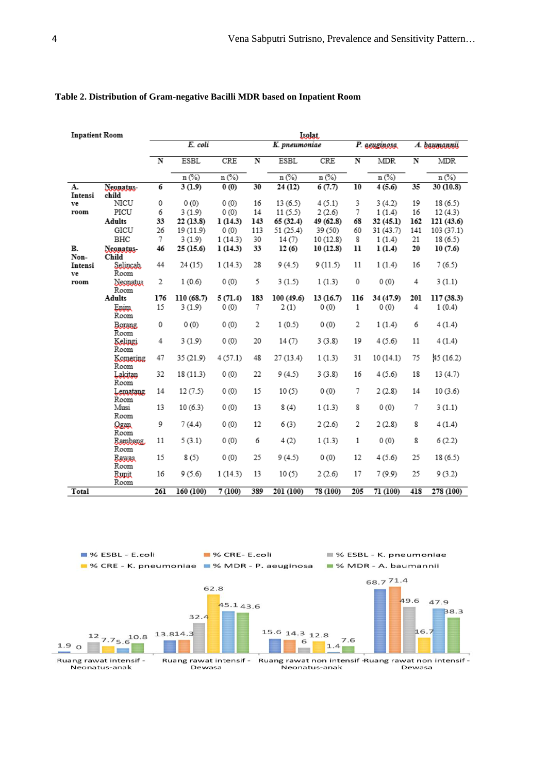| <b>Inpatient Room</b> |                      | Isolar.                 |                                |                                |                         |               |           |                         |              |                         |                                |  |  |  |
|-----------------------|----------------------|-------------------------|--------------------------------|--------------------------------|-------------------------|---------------|-----------|-------------------------|--------------|-------------------------|--------------------------------|--|--|--|
|                       |                      |                         | E. coli                        |                                |                         | K. pneumoniae |           |                         | P. genzinesa | А. рантаннії            |                                |  |  |  |
|                       |                      | $\overline{\bf N}$      | <b>ESBL</b>                    | CRE                            | $\overline{\mathbf{N}}$ | <b>ESBL</b>   | CRE       | $\overline{\mathbf{N}}$ | <b>MDR</b>   | $\overline{\mathbf{N}}$ | <b>MDR</b>                     |  |  |  |
|                       |                      |                         | $n$ $\left(\frac{9}{6}\right)$ | $n$ $\left(\frac{9}{6}\right)$ |                         | $n$ (%)       | $n (\%)$  |                         | $n$ (%)      |                         | $n$ $\left(\frac{9}{6}\right)$ |  |  |  |
| A.                    | Neonatus-            | 6                       | 3(1.9)                         | 0(0)                           | 30                      | 24 (12)       | 6(7.7)    | 10                      | 4(5.6)       | 35                      | 30 (10.8)                      |  |  |  |
| Intensi<br>ve         | child<br>NICU        | 0                       | 0(0)                           | 0(0)                           | 16                      | 13(6.5)       | 4(5.1)    | 3                       | 3(4.2)       | 19                      | 18(6.5)                        |  |  |  |
| room                  | PICU                 | 6                       | 3(1.9)                         | 0(0)                           | 14                      | 11(5.5)       | 2(2.6)    | 7                       | 1(1.4)       | 16                      | 12(4.3)                        |  |  |  |
|                       | <b>Adults</b>        | 33                      | 22 (13.8)                      | 1(14.3)                        |                         | 65 (32.4)     | 49 (62.8) | 68                      | 32 (45.1)    | 162                     | 121 (43.6)                     |  |  |  |
|                       | GICU                 | 26<br>0(0)<br>19 (11.9) |                                | 143<br>113                     | 51 (25.4)               | 39 (50)       | 60        | 31 (43.7)               | 141          | 103 (37.1)              |                                |  |  |  |
|                       | BHC                  | 7                       | 3(1.9)                         | 1(14.3)                        | 30                      | 14(7)         | 10(12.8)  | 8                       | 1(1.4)       | 21                      | 18(6.5)                        |  |  |  |
| В.<br>Non-            | Neonatus-<br>Child   | 46                      | 25 (15.6)                      | 1(14.3)                        | 33                      | 12(6)         | 10(12.8)  | 11                      | 1(1.4)       | 20                      | 10(7.6)                        |  |  |  |
| Intensi<br>ve         | Selincah<br>Room     | 44                      | 24(15)                         | 1(14.3)                        | 28                      | 9(4.5)        | 9(11.5)   | 11                      | 1(1.4)       | 16                      | 7(6.5)                         |  |  |  |
| room                  | Neonatus<br>Room     | 2                       | 1(0.6)                         | 0(0)                           | 5                       | 3(1.5)        | 1(1.3)    | 0                       | 0(0)         | 4                       | 3(1.1)                         |  |  |  |
|                       | <b>Adults</b>        | 176                     | 110 (68.7)                     | 5(71.4)                        | 183                     | 100 (49.6)    | 13(16.7)  | 116                     | 34 (47.9)    | 201                     | 117 (38.3)                     |  |  |  |
|                       | Enim<br>Room         | 15                      | 3(1.9)                         | 0(0)                           | 7                       | 2(1)          | 0(0)      | 1                       | 0(0)         | 4                       | 1(0.4)                         |  |  |  |
|                       | Borang,<br>Room      | 0                       | 0(0)                           | 0(0)                           | 2                       | 1(0.5)        | 0(0)      | 2                       | 1(1.4)       | 6                       | 4(1.4)                         |  |  |  |
|                       | Kelingi<br>Room      | 4                       | 3(1.9)                         | 0(0)                           | 20                      | 14(7)         | 3(3.8)    | 19                      | 4(5.6)       | 11                      | 4(1.4)                         |  |  |  |
|                       | Komering<br>Room     | 47                      | 35 (21.9)                      | 4 (57.1)                       | 48                      | 27 (13.4)     | 1(1.3)    | 31                      | 10(14.1)     | 75                      | 45 (16.2)                      |  |  |  |
|                       | Lakitan<br>Room      | 32                      | 18 (11.3)                      | 0(0)                           | 22                      | 9(4.5)        | 3(3.8)    | 16                      | 4(5.6)       | 18                      | 13(4.7)                        |  |  |  |
|                       | Lematang<br>Room     | 14                      | 12(7.5)                        | 0(0)                           | 15                      | 10(5)         | 0(0)      | 7                       | 2(2.8)       | 14                      | 10(3.6)                        |  |  |  |
|                       | Musi<br>Room         | 13                      | 10(6.3)                        | 0(0)                           | 13                      | 8(4)          | 1(1.3)    | 8                       | 0(0)         | 7                       | 3(1.1)                         |  |  |  |
|                       | Qeau<br>Room         | 9                       | 7(4.4)                         | 0(0)                           | 12                      | 6(3)          | 2(2.6)    | 2                       | 2(2.8)       | 8                       | 4(1.4)                         |  |  |  |
|                       | Rambang,<br>Room     | 11                      | 5(3.1)                         | 0(0)                           | 6                       | 4(2)          | 1(1.3)    | 1                       | 0(0)         | 8                       | 6(2.2)                         |  |  |  |
|                       | Baraa<br>Room        | 15                      | 8(5)                           | 0(0)                           | 25                      | 9(4.5)        | 0(0)      | 12                      | 4(5.6)       | 25                      | 18 (6.5)                       |  |  |  |
|                       | <b>Bupit</b><br>Room | 16                      | 9 (5.6)                        | 1(14.3)                        | 13                      | 10(5)         | 2(2.6)    | 17                      | 7 (9.9)      | 25                      | 9(3.2)                         |  |  |  |
| Total                 |                      | 261                     | 160(100)                       | 7(100)                         | 389                     | 201 (100)     | 78(100)   | 205                     | 71 (100)     | 418                     | 278 (100)                      |  |  |  |

#### **Table 2. Distribution of Gram-negative Bacilli MDR based on Inpatient Room**

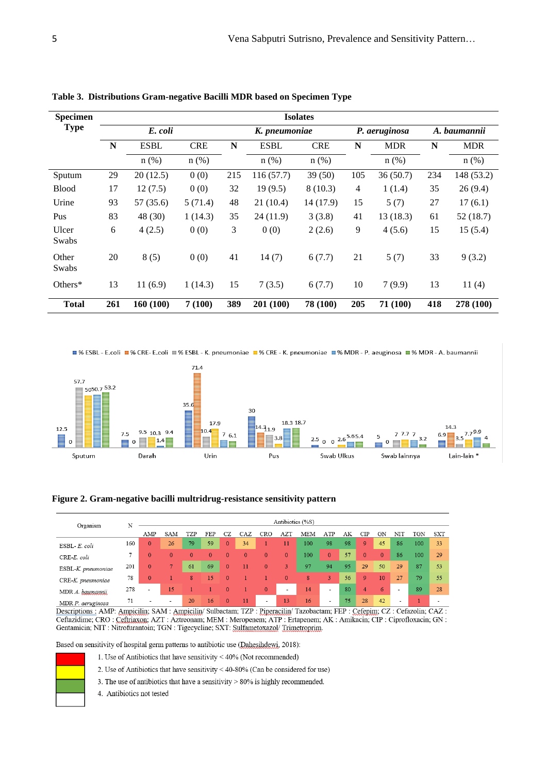| <b>Specimen</b> | <b>Isolates</b> |             |            |     |               |            |                |               |              |            |  |  |  |  |  |
|-----------------|-----------------|-------------|------------|-----|---------------|------------|----------------|---------------|--------------|------------|--|--|--|--|--|
| <b>Type</b>     |                 | E. coli     |            |     | K. pneumoniae |            |                | P. aeruginosa | A. baumannii |            |  |  |  |  |  |
|                 | N               | <b>ESBL</b> | <b>CRE</b> | N   | <b>ESBL</b>   | <b>CRE</b> | N              | <b>MDR</b>    | N            | <b>MDR</b> |  |  |  |  |  |
|                 |                 | $n$ (%)     | $n$ (%)    |     | $n$ (%)       | $n$ (%)    |                | n(%)          |              | $n$ (%)    |  |  |  |  |  |
| Sputum          | 29              | 20(12.5)    | 0(0)       | 215 | 116(57.7)     | 39(50)     | 105            | 36(50.7)      | 234          | 148 (53.2) |  |  |  |  |  |
| <b>Blood</b>    | 17              | 12(7.5)     | 0(0)       | 32  | 19(9.5)       | 8(10.3)    | $\overline{4}$ | 1(1.4)        | 35           | 26(9.4)    |  |  |  |  |  |
| Urine           | 93              | 57(35.6)    | 5(71.4)    | 48  | 21(10.4)      | 14 (17.9)  | 15             | 5(7)          | 27           | 17(6.1)    |  |  |  |  |  |
| Pus             | 83              | 48 (30)     | 1(14.3)    | 35  | 24(11.9)      | 3(3.8)     | 41             | 13(18.3)      | 61           | 52(18.7)   |  |  |  |  |  |
| Ulcer<br>Swabs  | 6               | 4(2.5)      | 0(0)       | 3   | 0(0)          | 2(2.6)     | 9              | 4(5.6)        | 15           | 15(5.4)    |  |  |  |  |  |
| Other<br>Swabs  | 20              | 8(5)        | 0(0)       | 41  | 14(7)         | 6(7.7)     | 21             | 5(7)          | 33           | 9(3.2)     |  |  |  |  |  |
| Others*         | 13              | 11(6.9)     | 1(14.3)    | 15  | 7(3.5)        | 6(7.7)     | 10             | 7(9.9)        | 13           | 11(4)      |  |  |  |  |  |
| <b>Total</b>    | 261             | 160(100)    | 7(100)     | 389 | 201 (100)     | 78 (100)   | 205            | 71 (100)      | 418          | 278 (100)  |  |  |  |  |  |

**Table 3. Distributions Gram-negative Bacilli MDR based on Specimen Type**

■% ESBL - E.coli ■% CRE- E.coli ■% ESBL - K. pneumoniae ■% CRE - K. pneumoniae ■% MDR - P. aeuginosa ■% MDR - A. baumannii





| Organism           |     | Antibiotics (%S)         |              |          |          |          |              |                          |              |     |                |    |          |              |                |     |            |
|--------------------|-----|--------------------------|--------------|----------|----------|----------|--------------|--------------------------|--------------|-----|----------------|----|----------|--------------|----------------|-----|------------|
|                    | N   | AMP                      | SAM          | TZP      | FEP      | CZ       | CAZ          | CRO                      | <b>AZT</b>   | MEM | ATP            | AΚ | CIP      | GN           | NIJ            | TGN | <b>SXT</b> |
| ESBL-E. coli       | 160 | $\overline{0}$           | 26           | 79       | 59       | $\Omega$ | 34           |                          | 11           | 100 | 98             | 98 | 9        | 45           | 86             | 100 | 33         |
| CRE-E. coli        | 7   | $\mathbf{0}$             | $\mathbf{0}$ | $\Omega$ | $\Omega$ | $\Omega$ | $\mathbf{0}$ | $\mathbf{0}$             | $\mathbf{0}$ | 100 | $\mathbf{0}$   | 57 | $\Omega$ | $\mathbf{0}$ | 86             | 100 | 29         |
| ESBL-K. pneumoniae | 201 | $\mathbf{0}$             | 7.           | 61       | 69       | $\Omega$ | 11           | $\mathbf{0}$             | 3            | 97  | 94             | 95 | 29       | 50           | 29             | 87  | 53         |
| CRE-K. pneumoniae  | 78  | $\mathbf{0}$             |              | 8        | 15       | $\Omega$ |              |                          | $\mathbf{0}$ | 8   | 3              | 56 | 9        | 10           | 27             | 79  | 55         |
| MDR A. baumannii   | 278 | $\overline{\phantom{a}}$ | 15           |          |          | $\Omega$ |              | $\mathbf{0}$             | ٠            | 14  | $\blacksquare$ | 80 | 4        | 6            |                | 89  | 28         |
| MDR P. aeruginosa  | 71  | -                        | ۰            | 20       | 16       | $\Omega$ | 11           | $\overline{\phantom{a}}$ | 13           | 16  |                | 75 | 28       | 42           | $\blacksquare$ |     |            |

Descriptions: AMP: Ampicilin; SAM: Ampicilin/ Sulbactam; TZP: Piperacilin/ Tazobactam; FEP: Cefepim; CZ: Cefazolin; CAZ: Ceftazidime; CRO : Ceftriaxon; AZT : Aztreonam; MEM : Meropenem; ATP : Ertapenem; AK : Amikacin; CIP : Ciprofloxacin; GN : Gentamicin; NIT : Nitrofurantoin; TGN : Tigecycline; SXT: Sulfametoxazol/ Trimetroprim.

Based on sensitivity of hospital germ patterns to antibiotic use (Dahesihdewi, 2018):

- 1. Use of Antibiotics that have sensitivity < 40% (Not recommended)
	- 2. Use of Antibiotics that have sensitivity < 40-80% (Can be considered for use)
	- 3. The use of antibiotics that have a sensitivity  $> 80\%$  is highly recommended.
	- 4. Antibiotics not tested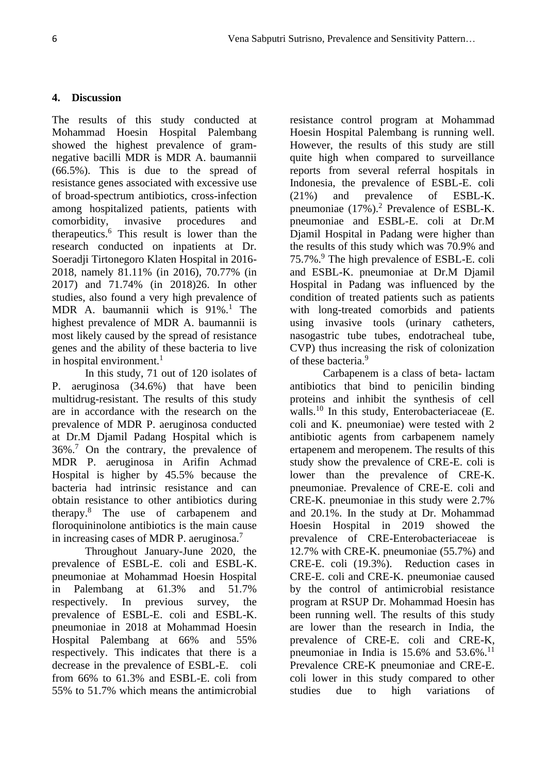### **4. Discussion**

The results of this study conducted at Mohammad Hoesin Hospital Palembang showed the highest prevalence of gramnegative bacilli MDR is MDR A. baumannii (66.5%). This is due to the spread of resistance genes associated with excessive use of broad-spectrum antibiotics, cross-infection among hospitalized patients, patients with comorbidity, invasive procedures and therapeutics.<sup>6</sup> This result is lower than the research conducted on inpatients at Dr. Soeradji Tirtonegoro Klaten Hospital in 2016- 2018, namely 81.11% (in 2016), 70.77% (in 2017) and 71.74% (in 2018)26. In other studies, also found a very high prevalence of MDR A. baumannii which is  $91\%$ <sup>1</sup> The highest prevalence of MDR A. baumannii is most likely caused by the spread of resistance genes and the ability of these bacteria to live in hospital environment.<sup>1</sup>

In this study, 71 out of 120 isolates of P. aeruginosa (34.6%) that have been multidrug-resistant. The results of this study are in accordance with the research on the prevalence of MDR P. aeruginosa conducted at Dr.M Djamil Padang Hospital which is  $36\%$ .<sup>7</sup> On the contrary, the prevalence of MDR P. aeruginosa in Arifin Achmad Hospital is higher by 45.5% because the bacteria had intrinsic resistance and can obtain resistance to other antibiotics during therapy.<sup>8</sup> The use of carbapenem and floroquininolone antibiotics is the main cause in increasing cases of MDR P. aeruginosa.<sup>7</sup>

Throughout January-June 2020, the prevalence of ESBL-E. coli and ESBL-K. pneumoniae at Mohammad Hoesin Hospital in Palembang at 61.3% and 51.7% respectively. In previous survey, the prevalence of ESBL-E. coli and ESBL-K. pneumoniae in 2018 at Mohammad Hoesin Hospital Palembang at 66% and 55% respectively. This indicates that there is a decrease in the prevalence of ESBL-E. coli from 66% to 61.3% and ESBL-E. coli from 55% to 51.7% which means the antimicrobial

resistance control program at Mohammad Hoesin Hospital Palembang is running well. However, the results of this study are still quite high when compared to surveillance reports from several referral hospitals in Indonesia, the prevalence of ESBL-E. coli (21%) and prevalence of ESBL-K. pneumoniae  $(17\%)$ <sup>2</sup> Prevalence of ESBL-K. pneumoniae and ESBL-E. coli at Dr.M Djamil Hospital in Padang were higher than the results of this study which was 70.9% and 75.7%.<sup>9</sup> The high prevalence of ESBL-E. coli and ESBL-K. pneumoniae at Dr.M Djamil Hospital in Padang was influenced by the condition of treated patients such as patients with long-treated comorbids and patients using invasive tools (urinary catheters, nasogastric tube tubes, endotracheal tube, CVP) thus increasing the risk of colonization of these bacteria.<sup>9</sup>

Carbapenem is a class of beta- lactam antibiotics that bind to penicilin binding proteins and inhibit the synthesis of cell walls.<sup>10</sup> In this study, Enterobacteriaceae (E. coli and K. pneumoniae) were tested with 2 antibiotic agents from carbapenem namely ertapenem and meropenem. The results of this study show the prevalence of CRE-E. coli is lower than the prevalence of CRE-K. pneumoniae. Prevalence of CRE-E. coli and CRE-K. pneumoniae in this study were 2.7% and 20.1%. In the study at Dr. Mohammad Hoesin Hospital in 2019 showed the prevalence of CRE-Enterobacteriaceae is 12.7% with CRE-K. pneumoniae (55.7%) and CRE-E. coli (19.3%). Reduction cases in CRE-E. coli and CRE-K. pneumoniae caused by the control of antimicrobial resistance program at RSUP Dr. Mohammad Hoesin has been running well. The results of this study are lower than the research in India, the prevalence of CRE-E. coli and CRE-K, pneumoniae in India is  $15.6\%$  and  $53.6\%$ .<sup>11</sup> Prevalence CRE-K pneumoniae and CRE-E. coli lower in this study compared to other studies due to high variations of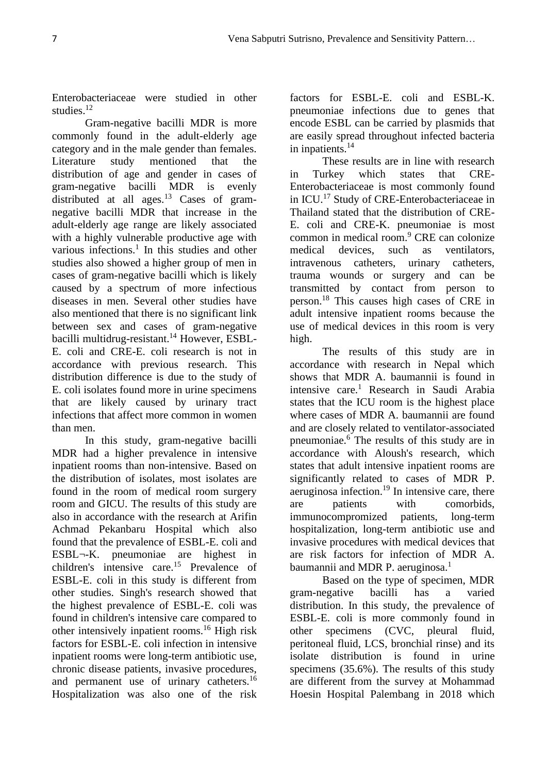Enterobacteriaceae were studied in other studies.<sup>12</sup>

Gram-negative bacilli MDR is more commonly found in the adult-elderly age category and in the male gender than females. Literature study mentioned that the distribution of age and gender in cases of gram-negative bacilli MDR is evenly distributed at all ages.<sup>13</sup> Cases of gramnegative bacilli MDR that increase in the adult-elderly age range are likely associated with a highly vulnerable productive age with various infections.<sup>1</sup> In this studies and other studies also showed a higher group of men in cases of gram-negative bacilli which is likely caused by a spectrum of more infectious diseases in men. Several other studies have also mentioned that there is no significant link between sex and cases of gram-negative bacilli multidrug-resistant.<sup>14</sup> However, ESBL-E. coli and CRE-E. coli research is not in accordance with previous research. This distribution difference is due to the study of E. coli isolates found more in urine specimens that are likely caused by urinary tract infections that affect more common in women than men.

In this study, gram-negative bacilli MDR had a higher prevalence in intensive inpatient rooms than non-intensive. Based on the distribution of isolates, most isolates are found in the room of medical room surgery room and GICU. The results of this study are also in accordance with the research at Arifin Achmad Pekanbaru Hospital which also found that the prevalence of ESBL-E. coli and ESBL¬-K. pneumoniae are highest in children's intensive care.<sup>15</sup> Prevalence of ESBL-E. coli in this study is different from other studies. Singh's research showed that the highest prevalence of ESBL-E. coli was found in children's intensive care compared to other intensively inpatient rooms.<sup>16</sup> High risk factors for ESBL-E. coli infection in intensive inpatient rooms were long-term antibiotic use, chronic disease patients, invasive procedures, and permanent use of urinary catheters.<sup>16</sup> Hospitalization was also one of the risk

factors for ESBL-E. coli and ESBL-K. pneumoniae infections due to genes that encode ESBL can be carried by plasmids that are easily spread throughout infected bacteria in inpatients.<sup>14</sup>

These results are in line with research in Turkey which states that CRE-Enterobacteriaceae is most commonly found in ICU.<sup>17</sup> Study of CRE-Enterobacteriaceae in Thailand stated that the distribution of CRE-E. coli and CRE-K. pneumoniae is most common in medical room.<sup>9</sup> CRE can colonize medical devices, such as ventilators, intravenous catheters, urinary catheters, trauma wounds or surgery and can be transmitted by contact from person to person.<sup>18</sup> This causes high cases of CRE in adult intensive inpatient rooms because the use of medical devices in this room is very high.

The results of this study are in accordance with research in Nepal which shows that MDR A. baumannii is found in intensive care.<sup>1</sup> Research in Saudi Arabia states that the ICU room is the highest place where cases of MDR A. baumannii are found and are closely related to ventilator-associated pneumoniae.<sup>6</sup> The results of this study are in accordance with Aloush's research, which states that adult intensive inpatient rooms are significantly related to cases of MDR P. aeruginosa infection.<sup>19</sup> In intensive care, there are patients with comorbids, immunocompromized patients, long-term hospitalization, long-term antibiotic use and invasive procedures with medical devices that are risk factors for infection of MDR A. baumannii and MDR P. aeruginosa. $<sup>1</sup>$ </sup>

Based on the type of specimen, MDR gram-negative bacilli has a varied distribution. In this study, the prevalence of ESBL-E. coli is more commonly found in other specimens (CVC, pleural fluid, peritoneal fluid, LCS, bronchial rinse) and its isolate distribution is found in urine specimens (35.6%). The results of this study are different from the survey at Mohammad Hoesin Hospital Palembang in 2018 which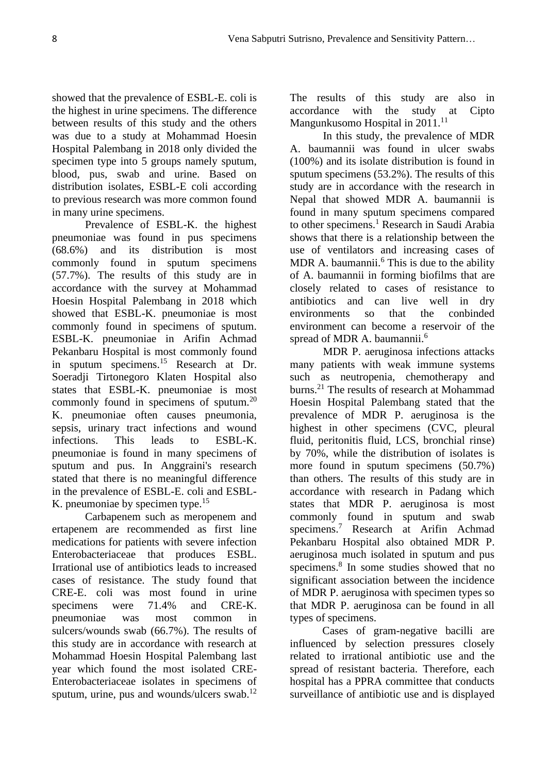showed that the prevalence of ESBL-E. coli is the highest in urine specimens. The difference between results of this study and the others was due to a study at Mohammad Hoesin Hospital Palembang in 2018 only divided the specimen type into 5 groups namely sputum, blood, pus, swab and urine. Based on distribution isolates, ESBL-E coli according to previous research was more common found in many urine specimens.

Prevalence of ESBL-K. the highest pneumoniae was found in pus specimens (68.6%) and its distribution is most commonly found in sputum specimens (57.7%). The results of this study are in accordance with the survey at Mohammad Hoesin Hospital Palembang in 2018 which showed that ESBL-K. pneumoniae is most commonly found in specimens of sputum. ESBL-K. pneumoniae in Arifin Achmad Pekanbaru Hospital is most commonly found in sputum specimens.<sup>15</sup> Research at Dr. Soeradji Tirtonegoro Klaten Hospital also states that ESBL-K. pneumoniae is most commonly found in specimens of sputum.<sup>20</sup> K. pneumoniae often causes pneumonia, sepsis, urinary tract infections and wound infections. This leads to ESBL-K. pneumoniae is found in many specimens of sputum and pus. In Anggraini's research stated that there is no meaningful difference in the prevalence of ESBL-E. coli and ESBL-K. pneumoniae by specimen type.<sup>15</sup>

Carbapenem such as meropenem and ertapenem are recommended as first line medications for patients with severe infection Enterobacteriaceae that produces ESBL. Irrational use of antibiotics leads to increased cases of resistance. The study found that CRE-E. coli was most found in urine specimens were 71.4% and CRE-K. pneumoniae was most common in sulcers/wounds swab (66.7%). The results of this study are in accordance with research at Mohammad Hoesin Hospital Palembang last year which found the most isolated CRE-Enterobacteriaceae isolates in specimens of sputum, urine, pus and wounds/ulcers swab.<sup>12</sup> The results of this study are also in accordance with the study at Cipto Mangunkusomo Hospital in 2011.<sup>11</sup>

In this study, the prevalence of MDR A. baumannii was found in ulcer swabs (100%) and its isolate distribution is found in sputum specimens (53.2%). The results of this study are in accordance with the research in Nepal that showed MDR A. baumannii is found in many sputum specimens compared to other specimens.<sup>1</sup> Research in Saudi Arabia shows that there is a relationship between the use of ventilators and increasing cases of MDR A. baumannii.<sup>6</sup> This is due to the ability of A. baumannii in forming biofilms that are closely related to cases of resistance to antibiotics and can live well in dry environments so that the conbinded environment can become a reservoir of the spread of MDR A. baumannii.<sup>6</sup>

MDR P. aeruginosa infections attacks many patients with weak immune systems such as neutropenia, chemotherapy and burns.<sup>21</sup> The results of research at Mohammad Hoesin Hospital Palembang stated that the prevalence of MDR P. aeruginosa is the highest in other specimens (CVC, pleural fluid, peritonitis fluid, LCS, bronchial rinse) by 70%, while the distribution of isolates is more found in sputum specimens (50.7%) than others. The results of this study are in accordance with research in Padang which states that MDR P. aeruginosa is most commonly found in sputum and swab specimens.<sup>7</sup> Research at Arifin Achmad Pekanbaru Hospital also obtained MDR P. aeruginosa much isolated in sputum and pus specimens.<sup>8</sup> In some studies showed that no significant association between the incidence of MDR P. aeruginosa with specimen types so that MDR P. aeruginosa can be found in all types of specimens.

Cases of gram-negative bacilli are influenced by selection pressures closely related to irrational antibiotic use and the spread of resistant bacteria. Therefore, each hospital has a PPRA committee that conducts surveillance of antibiotic use and is displayed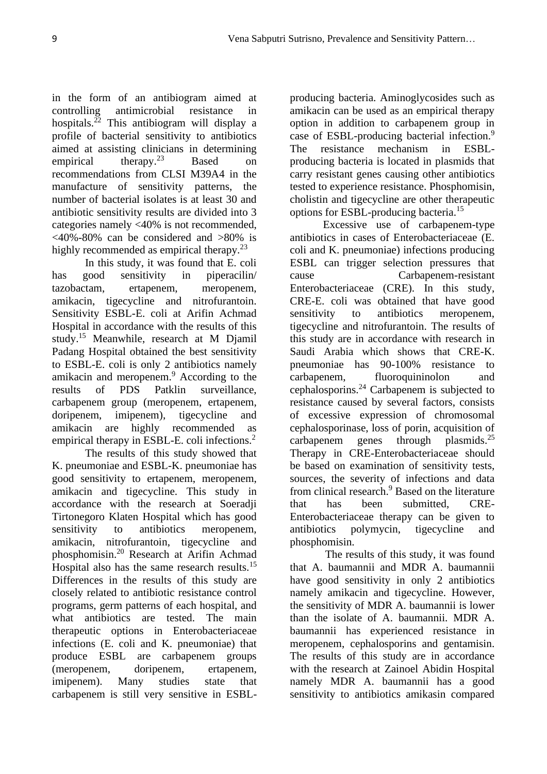in the form of an antibiogram aimed at controlling antimicrobial resistance in hospitals. $^{22}$  This antibiogram will display a profile of bacterial sensitivity to antibiotics aimed at assisting clinicians in determining empirical therapy. $2^3$  Based on recommendations from CLSI M39A4 in the manufacture of sensitivity patterns, the number of bacterial isolates is at least 30 and antibiotic sensitivity results are divided into 3 categories namely <40% is not recommended,  $\langle 40\% - 80\% \text{ can be considered and } \rangle 80\%$  is highly recommended as empirical therapy. $2<sup>3</sup>$ 

In this study, it was found that E. coli has good sensitivity in piperacilin/ tazobactam, ertapenem, meropenem, amikacin, tigecycline and nitrofurantoin. Sensitivity ESBL-E. coli at Arifin Achmad Hospital in accordance with the results of this study.<sup>15</sup> Meanwhile, research at M Djamil Padang Hospital obtained the best sensitivity to ESBL-E. coli is only 2 antibiotics namely amikacin and meropenem.<sup>9</sup> According to the results of PDS Patklin surveillance, carbapenem group (meropenem, ertapenem, doripenem, imipenem), tigecycline and amikacin are highly recommended as empirical therapy in ESBL-E. coli infections.<sup>2</sup>

The results of this study showed that K. pneumoniae and ESBL-K. pneumoniae has good sensitivity to ertapenem, meropenem, amikacin and tigecycline. This study in accordance with the research at Soeradji Tirtonegoro Klaten Hospital which has good sensitivity to antibiotics meropenem, amikacin, nitrofurantoin, tigecycline and phosphomisin.<sup>20</sup> Research at Arifin Achmad Hospital also has the same research results.<sup>15</sup> Differences in the results of this study are closely related to antibiotic resistance control programs, germ patterns of each hospital, and what antibiotics are tested. The main therapeutic options in Enterobacteriaceae infections (E. coli and K. pneumoniae) that produce ESBL are carbapenem groups (meropenem, doripenem, ertapenem, imipenem). Many studies state that carbapenem is still very sensitive in ESBL-

producing bacteria. Aminoglycosides such as amikacin can be used as an empirical therapy option in addition to carbapenem group in case of ESBL-producing bacterial infection.<sup>9</sup> The resistance mechanism in ESBLproducing bacteria is located in plasmids that carry resistant genes causing other antibiotics tested to experience resistance. Phosphomisin, cholistin and tigecycline are other therapeutic options for ESBL-producing bacteria.<sup>15</sup>

Excessive use of carbapenem-type antibiotics in cases of Enterobacteriaceae (E. coli and K. pneumoniae) infections producing ESBL can trigger selection pressures that cause Carbapenem-resistant Enterobacteriaceae (CRE). In this study, CRE-E. coli was obtained that have good sensitivity to antibiotics meropenem, tigecycline and nitrofurantoin. The results of this study are in accordance with research in Saudi Arabia which shows that CRE-K. pneumoniae has 90-100% resistance to carbapenem, fluoroquininolon and cephalosporins.<sup>24</sup> Carbapenem is subjected to resistance caused by several factors, consists of excessive expression of chromosomal cephalosporinase, loss of porin, acquisition of carbapenem genes through plasmids. $^{25}$ Therapy in CRE-Enterobacteriaceae should be based on examination of sensitivity tests, sources, the severity of infections and data from clinical research.<sup>9</sup> Based on the literature that has been submitted CRE-Enterobacteriaceae therapy can be given to antibiotics polymycin, tigecycline and phosphomisin.

The results of this study, it was found that A. baumannii and MDR A. baumannii have good sensitivity in only 2 antibiotics namely amikacin and tigecycline. However, the sensitivity of MDR A. baumannii is lower than the isolate of A. baumannii. MDR A. baumannii has experienced resistance in meropenem, cephalosporins and gentamisin. The results of this study are in accordance with the research at Zainoel Abidin Hospital namely MDR A. baumannii has a good sensitivity to antibiotics amikasin compared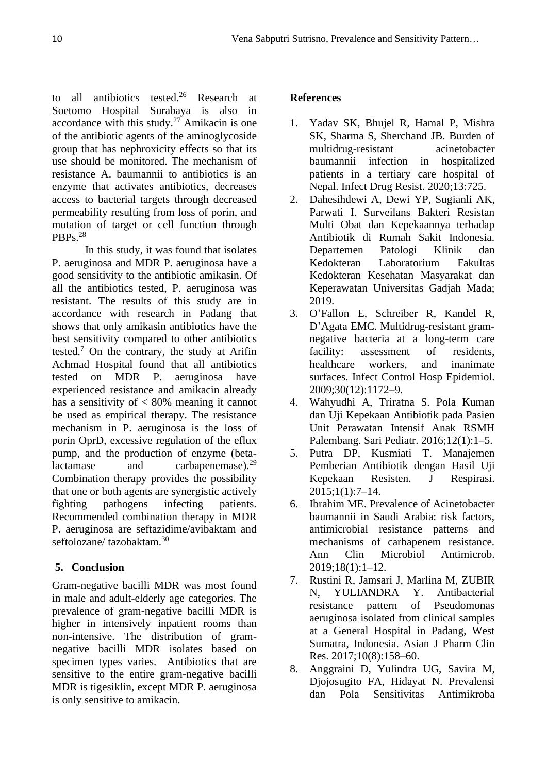to all antibiotics tested.<sup>26</sup> Research at Soetomo Hospital Surabaya is also in accordance with this study.<sup>27</sup> Amikacin is one of the antibiotic agents of the aminoglycoside group that has nephroxicity effects so that its use should be monitored. The mechanism of resistance A. baumannii to antibiotics is an enzyme that activates antibiotics, decreases access to bacterial targets through decreased permeability resulting from loss of porin, and mutation of target or cell function through PBPs.<sup>28</sup>

In this study, it was found that isolates P. aeruginosa and MDR P. aeruginosa have a good sensitivity to the antibiotic amikasin. Of all the antibiotics tested, P. aeruginosa was resistant. The results of this study are in accordance with research in Padang that shows that only amikasin antibiotics have the best sensitivity compared to other antibiotics tested.<sup>7</sup> On the contrary, the study at Arifin Achmad Hospital found that all antibiotics tested on MDR P. aeruginosa have experienced resistance and amikacin already has a sensitivity of < 80% meaning it cannot be used as empirical therapy. The resistance mechanism in P. aeruginosa is the loss of porin OprD, excessive regulation of the eflux pump, and the production of enzyme (betalactamase and carbapenemase).<sup>29</sup> Combination therapy provides the possibility that one or both agents are synergistic actively fighting pathogens infecting patients. Recommended combination therapy in MDR P. aeruginosa are seftazidime/avibaktam and seftolozane/ tazobaktam.<sup>30</sup>

# **5. Conclusion**

Gram-negative bacilli MDR was most found in male and adult-elderly age categories. The prevalence of gram-negative bacilli MDR is higher in intensively inpatient rooms than non-intensive. The distribution of gramnegative bacilli MDR isolates based on specimen types varies. Antibiotics that are sensitive to the entire gram-negative bacilli MDR is tigesiklin, except MDR P. aeruginosa is only sensitive to amikacin.

### **References**

- 1. Yadav SK, Bhujel R, Hamal P, Mishra SK, Sharma S, Sherchand JB. Burden of multidrug-resistant acinetobacter baumannii infection in hospitalized patients in a tertiary care hospital of Nepal. Infect Drug Resist. 2020;13:725.
- 2. Dahesihdewi A, Dewi YP, Sugianli AK, Parwati I. Surveilans Bakteri Resistan Multi Obat dan Kepekaannya terhadap Antibiotik di Rumah Sakit Indonesia. Departemen Patologi Klinik dan Kedokteran Laboratorium Fakultas Kedokteran Kesehatan Masyarakat dan Keperawatan Universitas Gadjah Mada; 2019.
- 3. O'Fallon E, Schreiber R, Kandel R, D'Agata EMC. Multidrug-resistant gramnegative bacteria at a long-term care facility: assessment of residents, healthcare workers, and inanimate surfaces. Infect Control Hosp Epidemiol. 2009;30(12):1172–9.
- 4. Wahyudhi A, Triratna S. Pola Kuman dan Uji Kepekaan Antibiotik pada Pasien Unit Perawatan Intensif Anak RSMH Palembang. Sari Pediatr. 2016;12(1):1–5.
- 5. Putra DP, Kusmiati T. Manajemen Pemberian Antibiotik dengan Hasil Uji Kepekaan Resisten. J Respirasi. 2015;1(1):7–14.
- 6. Ibrahim ME. Prevalence of Acinetobacter baumannii in Saudi Arabia: risk factors, antimicrobial resistance patterns and mechanisms of carbapenem resistance. Ann Clin Microbiol Antimicrob. 2019;18(1):1–12.
- 7. Rustini R, Jamsari J, Marlina M, ZUBIR N, YULIANDRA Y. Antibacterial resistance pattern of Pseudomonas aeruginosa isolated from clinical samples at a General Hospital in Padang, West Sumatra, Indonesia. Asian J Pharm Clin Res. 2017;10(8):158–60.
- 8. Anggraini D, Yulindra UG, Savira M, Djojosugito FA, Hidayat N. Prevalensi dan Pola Sensitivitas Antimikroba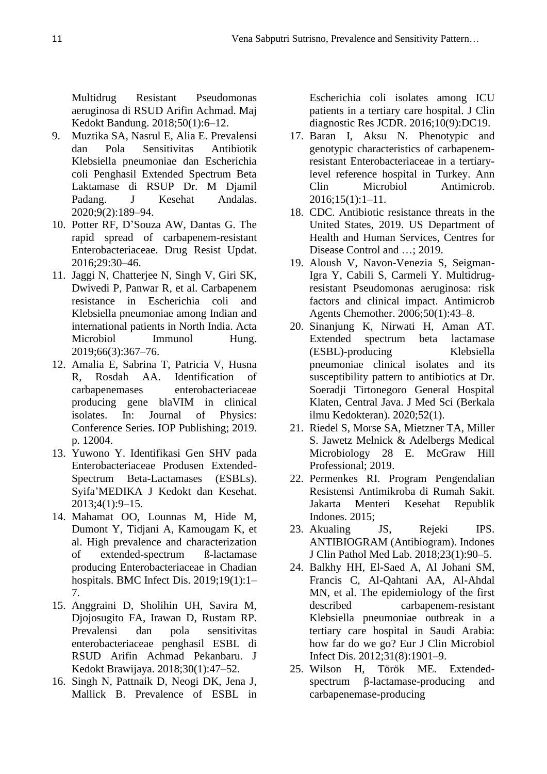Multidrug Resistant Pseudomonas aeruginosa di RSUD Arifin Achmad. Maj Kedokt Bandung. 2018;50(1):6–12.

- 9. Muztika SA, Nasrul E, Alia E. Prevalensi dan Pola Sensitivitas Antibiotik Klebsiella pneumoniae dan Escherichia coli Penghasil Extended Spectrum Beta Laktamase di RSUP Dr. M Djamil Padang. J Kesehat Andalas. 2020;9(2):189–94.
- 10. Potter RF, D'Souza AW, Dantas G. The rapid spread of carbapenem-resistant Enterobacteriaceae. Drug Resist Updat. 2016;29:30–46.
- 11. Jaggi N, Chatterjee N, Singh V, Giri SK, Dwivedi P, Panwar R, et al. Carbapenem resistance in Escherichia coli and Klebsiella pneumoniae among Indian and international patients in North India. Acta Microbiol Immunol Hung. 2019;66(3):367–76.
- 12. Amalia E, Sabrina T, Patricia V, Husna R, Rosdah AA. Identification of carbapenemases enterobacteriaceae producing gene blaVIM in clinical isolates. In: Journal of Physics: Conference Series. IOP Publishing; 2019. p. 12004.
- 13. Yuwono Y. Identifikasi Gen SHV pada Enterobacteriaceae Produsen Extended-Spectrum Beta-Lactamases (ESBLs). Syifa'MEDIKA J Kedokt dan Kesehat. 2013;4(1):9–15.
- 14. Mahamat OO, Lounnas M, Hide M, Dumont Y, Tidjani A, Kamougam K, et al. High prevalence and characterization of extended-spectrum ß-lactamase producing Enterobacteriaceae in Chadian hospitals. BMC Infect Dis. 2019;19(1):1– 7.
- 15. Anggraini D, Sholihin UH, Savira M, Djojosugito FA, Irawan D, Rustam RP. Prevalensi dan pola sensitivitas enterobacteriaceae penghasil ESBL di RSUD Arifin Achmad Pekanbaru. J Kedokt Brawijaya. 2018;30(1):47–52.
- 16. Singh N, Pattnaik D, Neogi DK, Jena J, Mallick B. Prevalence of ESBL in

Escherichia coli isolates among ICU patients in a tertiary care hospital. J Clin diagnostic Res JCDR. 2016;10(9):DC19.

- 17. Baran I, Aksu N. Phenotypic and genotypic characteristics of carbapenemresistant Enterobacteriaceae in a tertiarylevel reference hospital in Turkey. Ann Clin Microbiol Antimicrob. 2016;15(1):1–11.
- 18. CDC. Antibiotic resistance threats in the United States, 2019. US Department of Health and Human Services, Centres for Disease Control and ...: 2019.
- 19. Aloush V, Navon-Venezia S, Seigman-Igra Y, Cabili S, Carmeli Y. Multidrugresistant Pseudomonas aeruginosa: risk factors and clinical impact. Antimicrob Agents Chemother. 2006;50(1):43–8.
- 20. Sinanjung K, Nirwati H, Aman AT. Extended spectrum beta lactamase (ESBL)-producing Klebsiella pneumoniae clinical isolates and its susceptibility pattern to antibiotics at Dr. Soeradji Tirtonegoro General Hospital Klaten, Central Java. J Med Sci (Berkala ilmu Kedokteran). 2020;52(1).
- 21. Riedel S, Morse SA, Mietzner TA, Miller S. Jawetz Melnick & Adelbergs Medical Microbiology 28 E. McGraw Hill Professional; 2019.
- 22. Permenkes RI. Program Pengendalian Resistensi Antimikroba di Rumah Sakit. Jakarta Menteri Kesehat Republik Indones. 2015;
- 23. Akualing JS, Rejeki IPS. ANTIBIOGRAM (Antibiogram). Indones J Clin Pathol Med Lab. 2018;23(1):90–5.
- 24. Balkhy HH, El-Saed A, Al Johani SM, Francis C, Al-Qahtani AA, Al-Ahdal MN, et al. The epidemiology of the first described carbapenem-resistant Klebsiella pneumoniae outbreak in a tertiary care hospital in Saudi Arabia: how far do we go? Eur J Clin Microbiol Infect Dis. 2012;31(8):1901–9.
- 25. Wilson H, Török ME. Extendedspectrum β-lactamase-producing and carbapenemase-producing